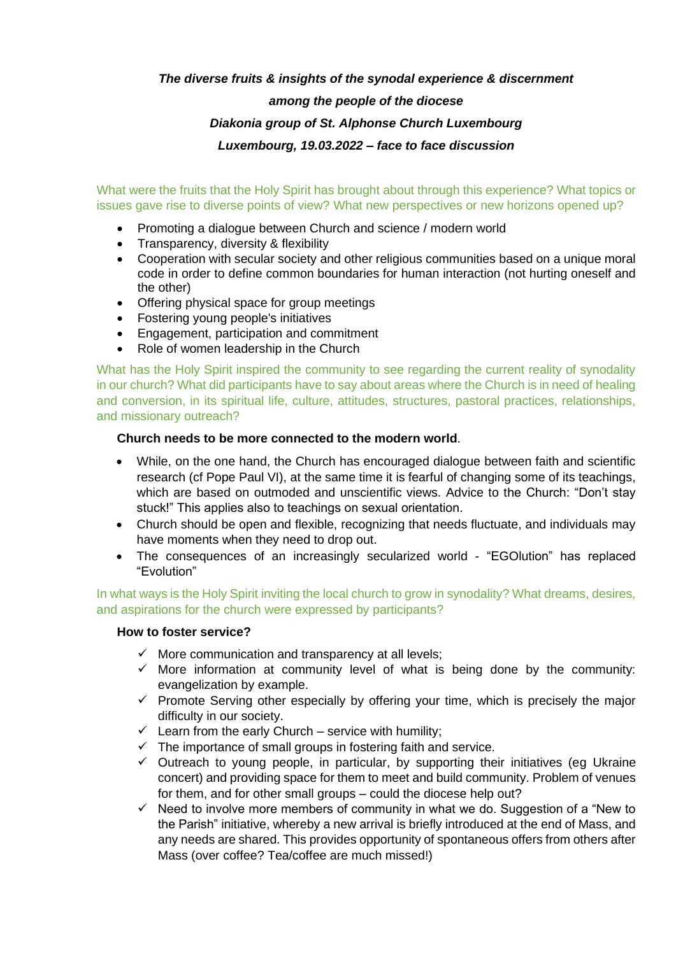## *The diverse fruits & insights of the synodal experience & discernment*

# *among the people of the diocese Diakonia group of St. Alphonse Church Luxembourg Luxembourg, 19.03.2022 – face to face discussion*

What were the fruits that the Holy Spirit has brought about through this experience? What topics or issues gave rise to diverse points of view? What new perspectives or new horizons opened up?

- Promoting a dialogue between Church and science / modern world
- Transparency, diversity & flexibility
- Cooperation with secular society and other religious communities based on a unique moral code in order to define common boundaries for human interaction (not hurting oneself and the other)
- Offering physical space for group meetings
- Fostering young people's initiatives
- Engagement, participation and commitment
- Role of women leadership in the Church

What has the Holy Spirit inspired the community to see regarding the current reality of synodality in our church? What did participants have to say about areas where the Church is in need of healing and conversion, in its spiritual life, culture, attitudes, structures, pastoral practices, relationships, and missionary outreach?

#### **Church needs to be more connected to the modern world**.

- While, on the one hand, the Church has encouraged dialogue between faith and scientific research (cf Pope Paul VI), at the same time it is fearful of changing some of its teachings, which are based on outmoded and unscientific views. Advice to the Church: "Don't stay stuck!" This applies also to teachings on sexual orientation.
- Church should be open and flexible, recognizing that needs fluctuate, and individuals may have moments when they need to drop out.
- The consequences of an increasingly secularized world "EGOlution" has replaced "Evolution"

In what ways is the Holy Spirit inviting the local church to grow in synodality? What dreams, desires, and aspirations for the church were expressed by participants?

#### **How to foster service?**

- $\checkmark$  More communication and transparency at all levels;
- $\checkmark$  More information at community level of what is being done by the community: evangelization by example.
- $\checkmark$  Promote Serving other especially by offering your time, which is precisely the major difficulty in our society.
- $\checkmark$  Learn from the early Church service with humility;
- $\checkmark$  The importance of small groups in fostering faith and service.
- $\checkmark$  Outreach to young people, in particular, by supporting their initiatives (eg Ukraine concert) and providing space for them to meet and build community. Problem of venues for them, and for other small groups – could the diocese help out?
- $\checkmark$  Need to involve more members of community in what we do. Suggestion of a "New to the Parish" initiative, whereby a new arrival is briefly introduced at the end of Mass, and any needs are shared. This provides opportunity of spontaneous offers from others after Mass (over coffee? Tea/coffee are much missed!)